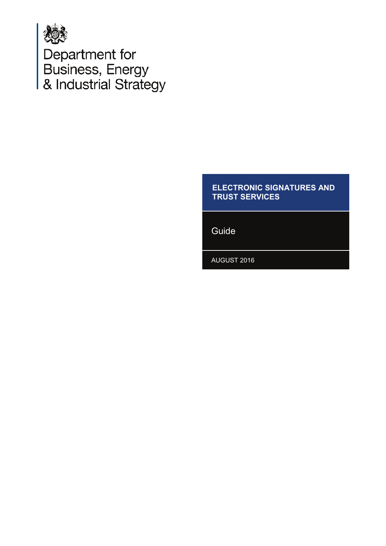

Department for<br>Business, Energy<br>& Industrial Strategy

#### **ELECTRONIC SIGNATURES AND TRUST SERVICES**

Guide

**AUGUST 2016**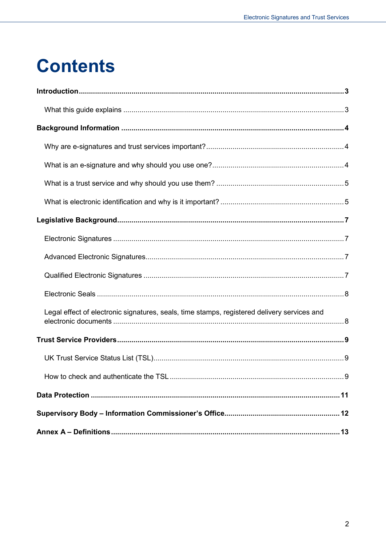## **Contents**

| Legal effect of electronic signatures, seals, time stamps, registered delivery services and |
|---------------------------------------------------------------------------------------------|
|                                                                                             |
|                                                                                             |
| How to check and authenticate the TSL<br>. . 9                                              |
|                                                                                             |
|                                                                                             |
|                                                                                             |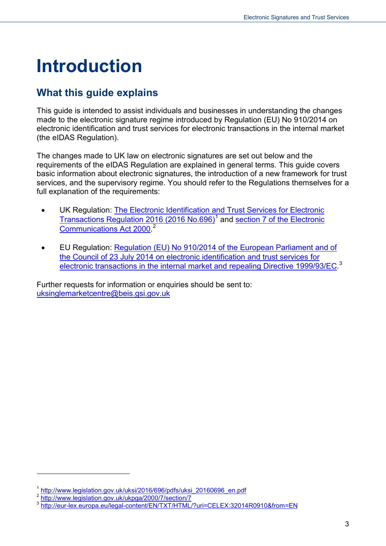# <span id="page-2-0"></span>**Introduction**

#### <span id="page-2-1"></span>**What this guide explains**

This guide is intended to assist individuals and businesses in understanding the changes made to the electronic signature regime introduced by Regulation (EU) No 910/2014 on electronic identification and trust services for electronic transactions in the internal market (the eIDAS Regulation).

The changes made to UK law on electronic signatures are set out below and the requirements of the eIDAS Regulation are explained in general terms. This guide covers basic information about electronic signatures, the introduction of a new framework for trust services, and the supervisory regime. You should refer to the Regulations themselves for a full explanation of the requirements:

- UK Regulation: [The Electronic Identification and Trust Services for Electronic](http://www.legislation.gov.uk/uksi/2016/696/pdfs/uksi_20160696_en.pdf)  [Transactions Regulation 2016 \(2016 No.696\)](http://www.legislation.gov.uk/uksi/2016/696/pdfs/uksi_20160696_en.pdf)<sup>[1](#page-2-2)</sup> and section 7 of the Electronic [Communications Act 2000.](http://www.legislation.gov.uk/ukpga/2000/7/section/7) [2](#page-2-3)
- EU Regulation: [Regulation \(EU\) No 910/2014 of the European Parliament and of](http://eur-lex.europa.eu/legal-content/EN/TXT/HTML/?uri=CELEX:32014R0910&from=EN)  [the Council of 23 July 2014 on electronic identification and trust services for](http://eur-lex.europa.eu/legal-content/EN/TXT/HTML/?uri=CELEX:32014R0910&from=EN)  [electronic transactions in the internal market and repealing Directive 1999/93/EC.](http://eur-lex.europa.eu/legal-content/EN/TXT/HTML/?uri=CELEX:32014R0910&from=EN)<sup>[3](#page-2-4)</sup>

Further requests for information or enquiries should be sent to: [uksinglemarketcentre@beis.gsi.gov.uk](mailto:uksinglemarketcentre@beis.gsi.gov.uk)

<span id="page-2-4"></span>

<span id="page-2-3"></span><span id="page-2-2"></span> $\begin{array}{l} \n\frac{1 \text{ http://www.legislation.gov.uk/uksi/2016/696/pdfs/uksi-20160696\_en.pdf}}{2 \text{ http://www.legislation.gov.uk/ukgga/2000/7/section/7}}\n\end{array}$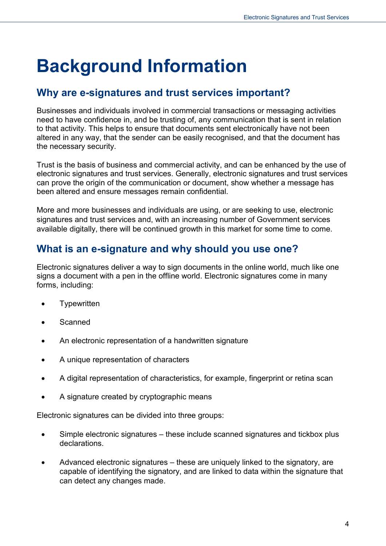# <span id="page-3-0"></span>**Background Information**

#### <span id="page-3-1"></span>**Why are e-signatures and trust services important?**

Businesses and individuals involved in commercial transactions or messaging activities need to have confidence in, and be trusting of, any communication that is sent in relation to that activity. This helps to ensure that documents sent electronically have not been altered in any way, that the sender can be easily recognised, and that the document has the necessary security.

Trust is the basis of business and commercial activity, and can be enhanced by the use of electronic signatures and trust services. Generally, electronic signatures and trust services can prove the origin of the communication or document, show whether a message has been altered and ensure messages remain confidential.

More and more businesses and individuals are using, or are seeking to use, electronic signatures and trust services and, with an increasing number of Government services available digitally, there will be continued growth in this market for some time to come.

#### <span id="page-3-2"></span>**What is an e-signature and why should you use one?**

Electronic signatures deliver a way to sign documents in the online world, much like one signs a document with a pen in the offline world. Electronic signatures come in many forms, including:

- **Typewritten**
- **Scanned**
- An electronic representation of a handwritten signature
- A unique representation of characters
- A digital representation of characteristics, for example, fingerprint or retina scan
- A signature created by cryptographic means

Electronic signatures can be divided into three groups:

- Simple electronic signatures these include scanned signatures and tickbox plus declarations.
- Advanced electronic signatures these are uniquely linked to the signatory, are capable of identifying the signatory, and are linked to data within the signature that can detect any changes made.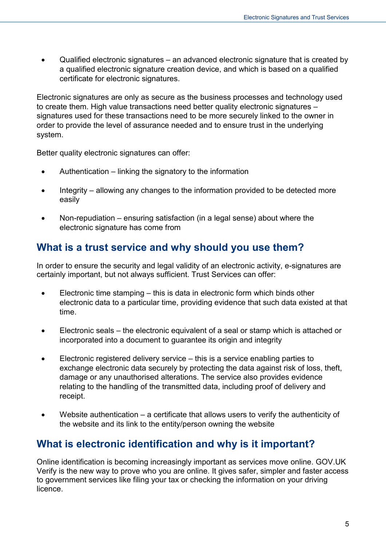• Qualified electronic signatures – an advanced electronic signature that is created by a qualified electronic signature creation device, and which is based on a qualified certificate for electronic signatures.

Electronic signatures are only as secure as the business processes and technology used to create them. High value transactions need better quality electronic signatures – signatures used for these transactions need to be more securely linked to the owner in order to provide the level of assurance needed and to ensure trust in the underlying system.

Better quality electronic signatures can offer:

- Authentication linking the signatory to the information
- Integrity allowing any changes to the information provided to be detected more easily
- Non-repudiation ensuring satisfaction (in a legal sense) about where the electronic signature has come from

#### <span id="page-4-0"></span>**What is a trust service and why should you use them?**

In order to ensure the security and legal validity of an electronic activity, e-signatures are certainly important, but not always sufficient. Trust Services can offer:

- Electronic time stamping this is data in electronic form which binds other electronic data to a particular time, providing evidence that such data existed at that time.
- Electronic seals the electronic equivalent of a seal or stamp which is attached or incorporated into a document to guarantee its origin and integrity
- Electronic registered delivery service this is a service enabling parties to exchange electronic data securely by protecting the data against risk of loss, theft, damage or any unauthorised alterations. The service also provides evidence relating to the handling of the transmitted data, including proof of delivery and receipt.
- Website authentication  $-$  a certificate that allows users to verify the authenticity of the website and its link to the entity/person owning the website

#### <span id="page-4-1"></span>**What is electronic identification and why is it important?**

Online identification is becoming increasingly important as services move online. GOV.UK Verify is the new way to prove who you are online. It gives safer, simpler and faster access to government services like filing your tax or checking the information on your driving licence.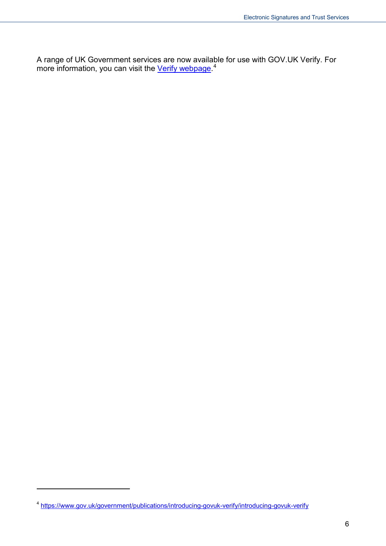A range of UK Government services are now available for use with GOV.UK Verify. For more information, you can visit the *Verify webpage*.<sup>[4](#page-5-0)</sup>

<span id="page-5-0"></span><sup>4</sup> <https://www.gov.uk/government/publications/introducing-govuk-verify/introducing-govuk-verify>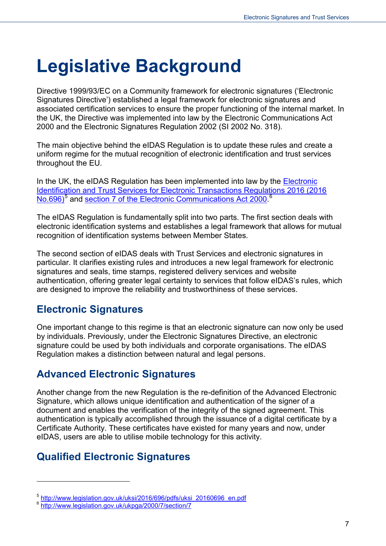# <span id="page-6-0"></span>**Legislative Background**

Directive 1999/93/EC on a Community framework for electronic signatures ('Electronic Signatures Directive') established a legal framework for electronic signatures and associated certification services to ensure the proper functioning of the internal market. In the UK, the Directive was implemented into law by the Electronic Communications Act 2000 and the Electronic Signatures Regulation 2002 (SI 2002 No. 318).

The main objective behind the eIDAS Regulation is to update these rules and create a uniform regime for the mutual recognition of electronic identification and trust services throughout the EU.

In the UK, the eIDAS Regulation has been implemented into law by the Electronic [Identification and Trust Services for Electronic Transactions Regulations 2016 \(2016](http://www.legislation.gov.uk/uksi/2016/696/pdfs/uksi_20160696_en.pdf)  [No.696\)](http://www.legislation.gov.uk/uksi/2016/696/pdfs/uksi_20160696_en.pdf)<sup>[5](#page-6-4)</sup> and [section 7 of the Electronic Communications Act 2000.](http://www.legislation.gov.uk/ukpga/2000/7/section/7)<sup>[6](#page-6-5)</sup>

The eIDAS Regulation is fundamentally split into two parts. The first section deals with electronic identification systems and establishes a legal framework that allows for mutual recognition of identification systems between Member States.

The second section of eIDAS deals with Trust Services and electronic signatures in particular. It clarifies existing rules and introduces a new legal framework for electronic signatures and seals, time stamps, registered delivery services and website authentication, offering greater legal certainty to services that follow eIDAS's rules, which are designed to improve the reliability and trustworthiness of these services.

#### <span id="page-6-1"></span>**Electronic Signatures**

One important change to this regime is that an electronic signature can now only be used by individuals. Previously, under the Electronic Signatures Directive, an electronic signature could be used by both individuals and corporate organisations. The eIDAS Regulation makes a distinction between natural and legal persons.

#### <span id="page-6-2"></span>**Advanced Electronic Signatures**

Another change from the new Regulation is the re-definition of the Advanced Electronic Signature, which allows unique identification and authentication of the signer of a document and enables the verification of the integrity of the signed agreement. This authentication is typically accomplished through the issuance of a digital certificate by a Certificate Authority. These certificates have existed for many years and now, under eIDAS, users are able to utilise mobile technology for this activity.

#### <span id="page-6-3"></span>**Qualified Electronic Signatures**

<span id="page-6-4"></span><sup>&</sup>lt;sup>5</sup> [http://www.legislation.gov.uk/uksi/2016/696/pdfs/uksi\\_20160696\\_en.pdf](http://www.legislation.gov.uk/uksi/2016/696/pdfs/uksi_20160696_en.pdf) 6 http://www.legislation.gov.uk/ukpga/2000/7/section/7

<span id="page-6-5"></span>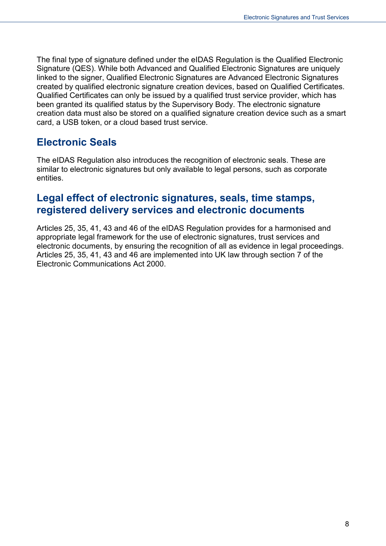The final type of signature defined under the eIDAS Regulation is the Qualified Electronic Signature (QES). While both Advanced and Qualified Electronic Signatures are uniquely linked to the signer, Qualified Electronic Signatures are Advanced Electronic Signatures created by qualified electronic signature creation devices, based on Qualified Certificates. Qualified Certificates can only be issued by a qualified trust service provider, which has been granted its qualified status by the Supervisory Body. The electronic signature creation data must also be stored on a qualified signature creation device such as a smart card, a USB token, or a cloud based trust service.

#### <span id="page-7-0"></span>**Electronic Seals**

The eIDAS Regulation also introduces the recognition of electronic seals. These are similar to electronic signatures but only available to legal persons, such as corporate entities.

#### <span id="page-7-1"></span>**Legal effect of electronic signatures, seals, time stamps, registered delivery services and electronic documents**

Articles 25, 35, 41, 43 and 46 of the eIDAS Regulation provides for a harmonised and appropriate legal framework for the use of electronic signatures, trust services and electronic documents, by ensuring the recognition of all as evidence in legal proceedings. Articles 25, 35, 41, 43 and 46 are implemented into UK law through section 7 of the Electronic Communications Act 2000.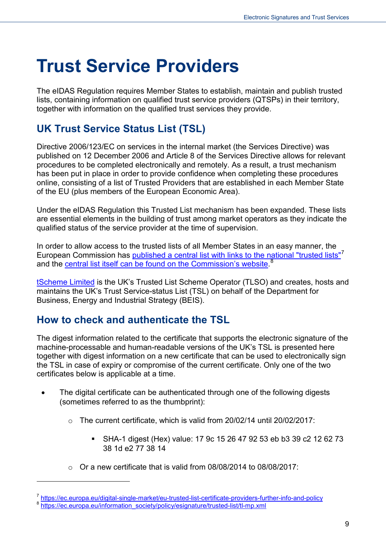## <span id="page-8-0"></span>**Trust Service Providers**

The eIDAS Regulation requires Member States to establish, maintain and publish trusted lists, containing information on qualified trust service providers (QTSPs) in their territory, together with information on the qualified trust services they provide.

### <span id="page-8-1"></span>**UK Trust Service Status List (TSL)**

Directive 2006/123/EC on services in the internal market (the Services Directive) was published on 12 December 2006 and Article 8 of the Services Directive allows for relevant procedures to be completed electronically and remotely. As a result, a trust mechanism has been put in place in order to provide confidence when completing these procedures online, consisting of a list of Trusted Providers that are established in each Member State of the EU (plus members of the European Economic Area).

Under the eIDAS Regulation this Trusted List mechanism has been expanded. These lists are essential elements in the building of trust among market operators as they indicate the qualified status of the service provider at the time of supervision.

In order to allow access to the trusted lists of all Member States in an easy manner, the European Commission has [published a central list with links to the national "trusted lists"](https://ec.europa.eu/digital-single-market/eu-trusted-list-certificate-providers-further-info-and-policy)<sup>[7](#page-8-3)</sup> and the **central list itself can be found on the Commission's website.<sup>[8](#page-8-4)</sup>** 

[tScheme Limited](http://www.tscheme.org/index.html) is the UK's Trusted List Scheme Operator (TLSO) and creates, hosts and maintains the UK's Trust Service-status List (TSL) on behalf of the Department for Business, Energy and Industrial Strategy (BEIS).

#### <span id="page-8-2"></span>**How to check and authenticate the TSL**

The digest information related to the certificate that supports the electronic signature of the machine-processable and human-readable versions of the UK's TSL is presented here together with digest information on a new certificate that can be used to electronically sign the TSL in case of expiry or compromise of the current certificate. Only one of the two certificates below is applicable at a time.

- The digital certificate can be authenticated through one of the following digests (sometimes referred to as the thumbprint):
	- $\circ$  The current certificate, which is valid from 20/02/14 until 20/02/2017:
		- SHA-1 digest (Hex) value: 17 9c 15 26 47 92 53 eb b3 39 c2 12 62 73 38 1d e2 77 38 14
	- $\circ$  Or a new certificate that is valid from 08/08/2014 to 08/08/2017:

<span id="page-8-3"></span> $\frac{7}{8}$  <https://ec.europa.eu/digital-single-market/eu-trusted-list-certificate-providers-further-info-and-policy> $^8$ <br>Rhttps://ec.europa.eu/information\_society/policy/esignature/trusted-list/tl-mp.xml

<span id="page-8-4"></span>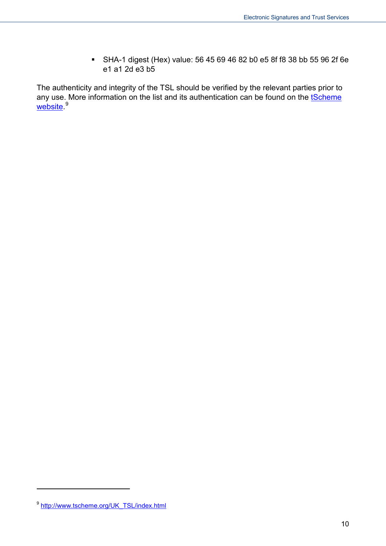SHA-1 digest (Hex) value: 56 45 69 46 82 b0 e5 8f f8 38 bb 55 96 2f 6e e1 a1 2d e3 b5

The authenticity and integrity of the TSL should be verified by the relevant parties prior to any use. More information on the list and its authentication can be found on the tScheme [website.](http://www.tscheme.org/UK_TSL/index.html)<sup>[9](#page-9-0)</sup>

<span id="page-9-0"></span><sup>&</sup>lt;sup>9</sup> http://www.tscheme.org/UK\_TSL/index.html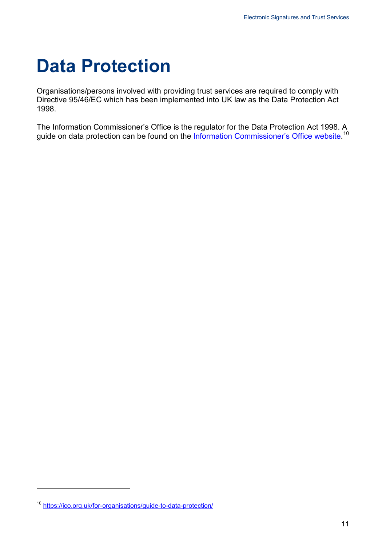### <span id="page-10-0"></span>**Data Protection**

Organisations/persons involved with providing trust services are required to comply with Directive 95/46/EC which has been implemented into UK law as the Data Protection Act 1998.

The Information Commissioner's Office is the regulator for the Data Protection Act 1998. A guide on data protection can be found on the <u>Information Commissioner's Office website.</u> <sup>[10](#page-10-1)</sup>

<span id="page-10-1"></span><sup>10</sup> <https://ico.org.uk/for-organisations/guide-to-data-protection/>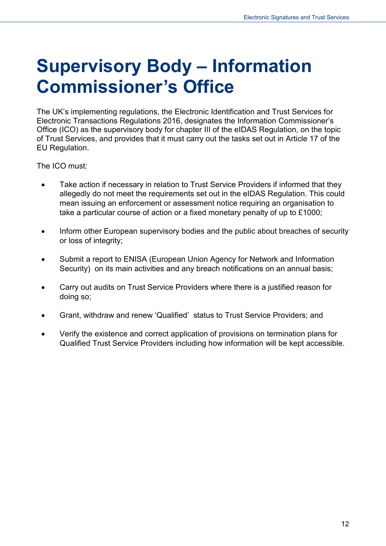## <span id="page-11-0"></span>**Supervisory Body – Information Commissioner's Office**

The UK's implementing regulations, the Electronic Identification and Trust Services for Electronic Transactions Regulations 2016, designates the Information Commissioner's Office (ICO) as the supervisory body for chapter III of the eIDAS Regulation, on the topic of Trust Services, and provides that it must carry out the tasks set out in Article 17 of the EU Regulation.

The ICO must:

- Take action if necessary in relation to Trust Service Providers if informed that they allegedly do not meet the requirements set out in the eIDAS Regulation. This could mean issuing an enforcement or assessment notice requiring an organisation to take a particular course of action or a fixed monetary penalty of up to £1000;
- Inform other European supervisory bodies and the public about breaches of security or loss of integrity;
- Submit a report to ENISA (European Union Agency for Network and Information Security) on its main activities and any breach notifications on an annual basis;
- Carry out audits on Trust Service Providers where there is a justified reason for doing so;
- Grant, withdraw and renew 'Qualified' status to Trust Service Providers; and
- Verify the existence and correct application of provisions on termination plans for Qualified Trust Service Providers including how information will be kept accessible.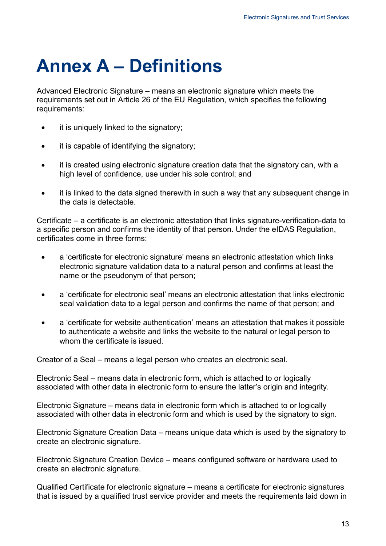# <span id="page-12-0"></span>**Annex A – Definitions**

Advanced Electronic Signature – means an electronic signature which meets the requirements set out in Article 26 of the EU Regulation, which specifies the following requirements:

- it is uniquely linked to the signatory;
- it is capable of identifying the signatory;
- it is created using electronic signature creation data that the signatory can, with a high level of confidence, use under his sole control; and
- it is linked to the data signed therewith in such a way that any subsequent change in the data is detectable.

Certificate – a certificate is an electronic attestation that links signature-verification-data to a specific person and confirms the identity of that person. Under the eIDAS Regulation, certificates come in three forms:

- a 'certificate for electronic signature' means an electronic attestation which links electronic signature validation data to a natural person and confirms at least the name or the pseudonym of that person;
- a 'certificate for electronic seal' means an electronic attestation that links electronic seal validation data to a legal person and confirms the name of that person; and
- a 'certificate for website authentication' means an attestation that makes it possible to authenticate a website and links the website to the natural or legal person to whom the certificate is issued.

Creator of a Seal – means a legal person who creates an electronic seal.

Electronic Seal – means data in electronic form, which is attached to or logically associated with other data in electronic form to ensure the latter's origin and integrity.

Electronic Signature – means data in electronic form which is attached to or logically associated with other data in electronic form and which is used by the signatory to sign.

Electronic Signature Creation Data – means unique data which is used by the signatory to create an electronic signature.

Electronic Signature Creation Device – means configured software or hardware used to create an electronic signature.

Qualified Certificate for electronic signature – means a certificate for electronic signatures that is issued by a qualified trust service provider and meets the requirements laid down in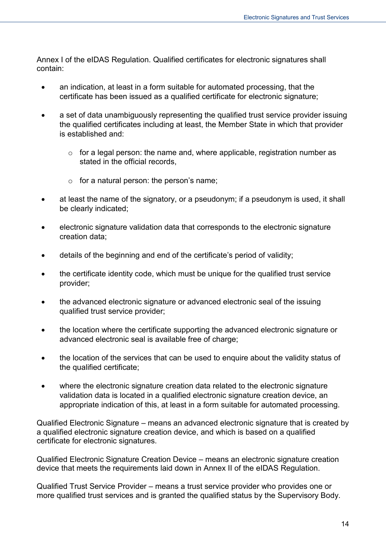Annex I of the eIDAS Regulation. Qualified certificates for electronic signatures shall contain:

- an indication, at least in a form suitable for automated processing, that the certificate has been issued as a qualified certificate for electronic signature;
- a set of data unambiguously representing the qualified trust service provider issuing the qualified certificates including at least, the Member State in which that provider is established and:
	- $\circ$  for a legal person: the name and, where applicable, registration number as stated in the official records.
	- $\circ$  for a natural person: the person's name;
- at least the name of the signatory, or a pseudonym; if a pseudonym is used, it shall be clearly indicated;
- electronic signature validation data that corresponds to the electronic signature creation data;
- details of the beginning and end of the certificate's period of validity;
- the certificate identity code, which must be unique for the qualified trust service provider;
- the advanced electronic signature or advanced electronic seal of the issuing qualified trust service provider;
- the location where the certificate supporting the advanced electronic signature or advanced electronic seal is available free of charge:
- the location of the services that can be used to enquire about the validity status of the qualified certificate;
- where the electronic signature creation data related to the electronic signature validation data is located in a qualified electronic signature creation device, an appropriate indication of this, at least in a form suitable for automated processing.

Qualified Electronic Signature – means an advanced electronic signature that is created by a qualified electronic signature creation device, and which is based on a qualified certificate for electronic signatures.

Qualified Electronic Signature Creation Device – means an electronic signature creation device that meets the requirements laid down in Annex II of the eIDAS Regulation.

Qualified Trust Service Provider – means a trust service provider who provides one or more qualified trust services and is granted the qualified status by the Supervisory Body.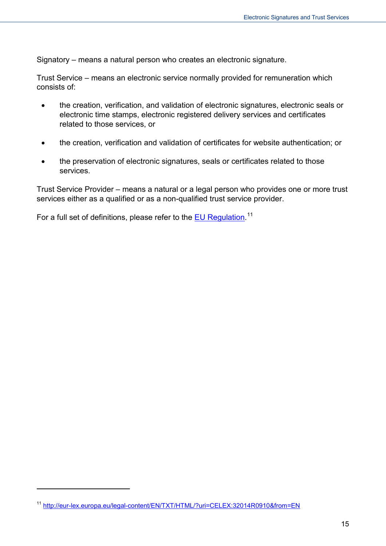Signatory – means a natural person who creates an electronic signature.

Trust Service – means an electronic service normally provided for remuneration which consists of:

- the creation, verification, and validation of electronic signatures, electronic seals or electronic time stamps, electronic registered delivery services and certificates related to those services, or
- the creation, verification and validation of certificates for website authentication; or
- the preservation of electronic signatures, seals or certificates related to those services.

Trust Service Provider – means a natural or a legal person who provides one or more trust services either as a qualified or as a non-qualified trust service provider.

For a full set of definitions, please refer to the **EU Regulation**.<sup>[11](#page-14-0)</sup>

<span id="page-14-0"></span><sup>11</sup> <http://eur-lex.europa.eu/legal-content/EN/TXT/HTML/?uri=CELEX:32014R0910&from=EN>